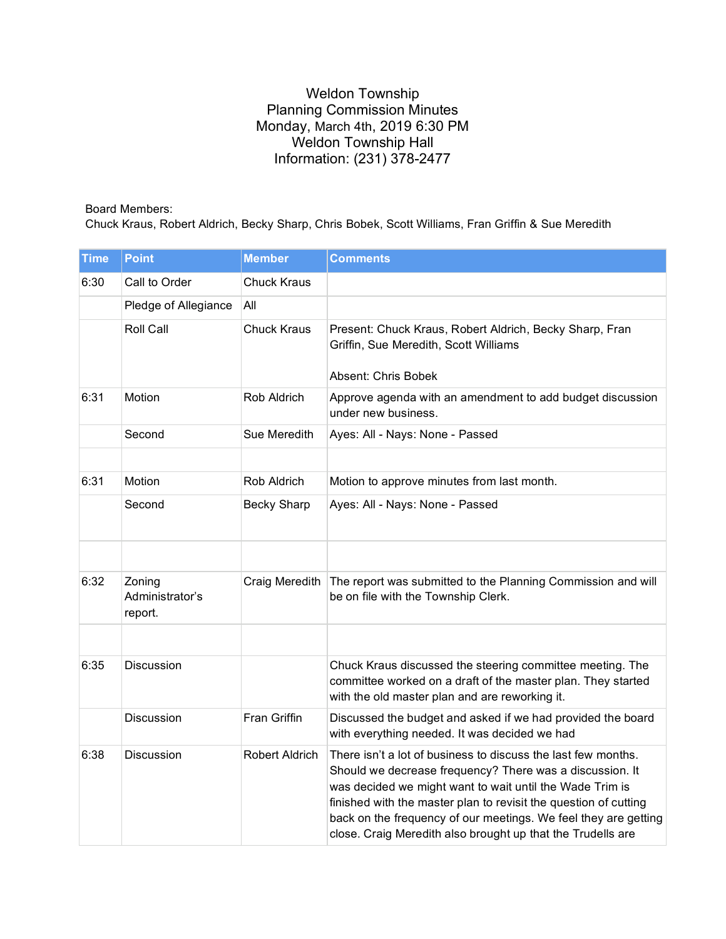## Weldon Township Planning Commission Minutes Monday, March 4th, 2019 6:30 PM Weldon Township Hall Information: (231) 378-2477

## Board Members:

Chuck Kraus, Robert Aldrich, Becky Sharp, Chris Bobek, Scott Williams, Fran Griffin & Sue Meredith

| <b>Time</b> | <b>Point</b>                         | <b>Member</b>         | <b>Comments</b>                                                                                                                                                                                                                                                                                                                                                                             |
|-------------|--------------------------------------|-----------------------|---------------------------------------------------------------------------------------------------------------------------------------------------------------------------------------------------------------------------------------------------------------------------------------------------------------------------------------------------------------------------------------------|
| 6:30        | Call to Order                        | Chuck Kraus           |                                                                                                                                                                                                                                                                                                                                                                                             |
|             | Pledge of Allegiance                 | All                   |                                                                                                                                                                                                                                                                                                                                                                                             |
|             | Roll Call                            | <b>Chuck Kraus</b>    | Present: Chuck Kraus, Robert Aldrich, Becky Sharp, Fran<br>Griffin, Sue Meredith, Scott Williams<br>Absent: Chris Bobek                                                                                                                                                                                                                                                                     |
| 6:31        | Motion                               | Rob Aldrich           | Approve agenda with an amendment to add budget discussion<br>under new business.                                                                                                                                                                                                                                                                                                            |
|             | Second                               | Sue Meredith          | Ayes: All - Nays: None - Passed                                                                                                                                                                                                                                                                                                                                                             |
|             |                                      |                       |                                                                                                                                                                                                                                                                                                                                                                                             |
| 6:31        | Motion                               | Rob Aldrich           | Motion to approve minutes from last month.                                                                                                                                                                                                                                                                                                                                                  |
|             | Second                               | <b>Becky Sharp</b>    | Ayes: All - Nays: None - Passed                                                                                                                                                                                                                                                                                                                                                             |
|             |                                      |                       |                                                                                                                                                                                                                                                                                                                                                                                             |
| 6:32        | Zoning<br>Administrator's<br>report. | Craig Meredith        | The report was submitted to the Planning Commission and will<br>be on file with the Township Clerk.                                                                                                                                                                                                                                                                                         |
|             |                                      |                       |                                                                                                                                                                                                                                                                                                                                                                                             |
| 6:35        | Discussion                           |                       | Chuck Kraus discussed the steering committee meeting. The<br>committee worked on a draft of the master plan. They started<br>with the old master plan and are reworking it.                                                                                                                                                                                                                 |
|             | Discussion                           | Fran Griffin          | Discussed the budget and asked if we had provided the board<br>with everything needed. It was decided we had                                                                                                                                                                                                                                                                                |
| 6:38        | <b>Discussion</b>                    | <b>Robert Aldrich</b> | There isn't a lot of business to discuss the last few months.<br>Should we decrease frequency? There was a discussion. It<br>was decided we might want to wait until the Wade Trim is<br>finished with the master plan to revisit the question of cutting<br>back on the frequency of our meetings. We feel they are getting<br>close. Craig Meredith also brought up that the Trudells are |